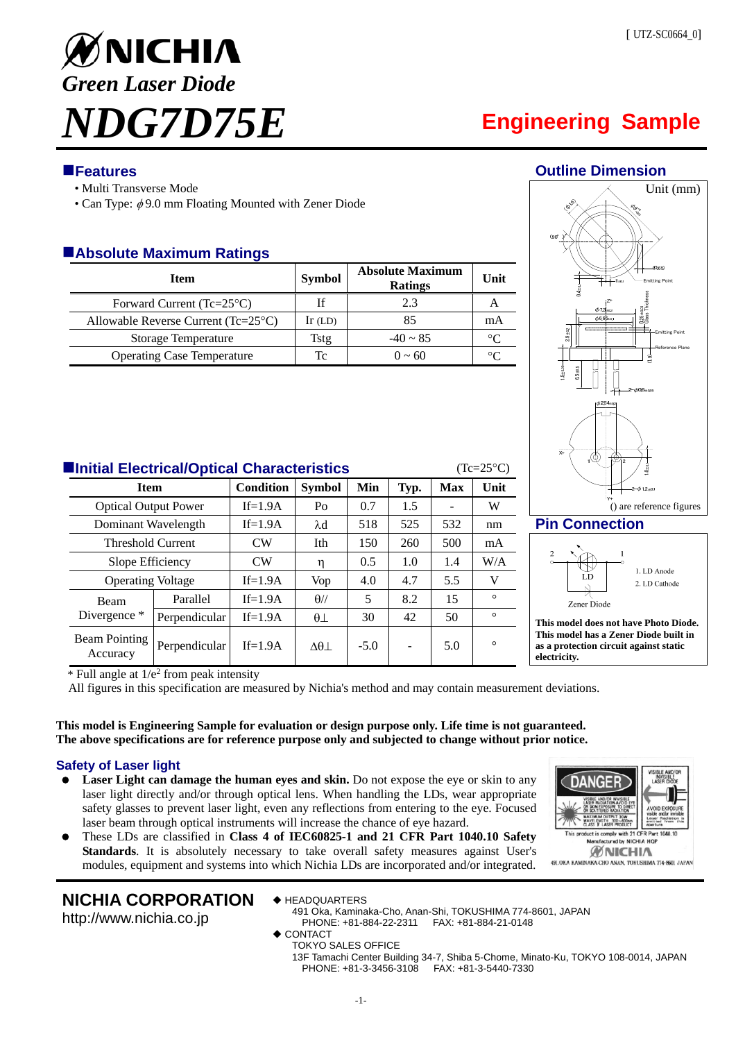

# ■Features **■**Features *Outline Dimension*

- Multi Transverse Mode
- Can Type:  $\phi$  9.0 mm Floating Mounted with Zener Diode

# **Absolute Maximum Ratings**

| <b>Item</b>                                  | <b>Symbol</b> | <b>Absolute Maximum</b><br><b>Ratings</b> | Unit    |
|----------------------------------------------|---------------|-------------------------------------------|---------|
| Forward Current (Tc= $25^{\circ}$ C)         | If            | 2.3                                       |         |
| Allowable Reverse Current $(Tc=25^{\circ}C)$ | $Ir$ (LD)     | 85                                        | mA      |
| <b>Storage Temperature</b>                   | Tstg          | $-40 \sim 85$                             | ∘∩      |
| <b>Operating Case Temperature</b>            | Tc            | $0 \sim 60$                               | $\circ$ |



### **Pin Connection**



**This model does not have Photo Diode. This model has a Zener Diode built in as a protection circuit against static electricity.** 

**ANGF** 

WAVELENGT

uct is comply with 21 CFR Part factured by NICHIA HQ **ØNICHIA** 491. OKA KAMINAKA-CHO ANAN, TOKUSHIMA 774-8601 JAPAN

**Initial Electrical/Optical Characteristics** (Tc=25°C)

| <b>Item</b>                 |               | <b>Condition</b> | <b>Symbol</b>      | Min    | Typ. | <b>Max</b> | Unit    |
|-----------------------------|---------------|------------------|--------------------|--------|------|------------|---------|
| <b>Optical Output Power</b> |               | $If=1.9A$        | Po                 | 0.7    | 1.5  |            | W       |
| Dominant Wavelength         |               | $If=1.9A$        | $\lambda$ d        | 518    | 525  | 532        | nm      |
| <b>Threshold Current</b>    |               | CW               | Ith                | 150    | 260  | 500        | mA      |
| Slope Efficiency            |               | CW               | η                  | 0.5    | 1.0  | 1.4        | W/A     |
| <b>Operating Voltage</b>    |               | $If=1.9A$        | Vop                | 4.0    | 4.7  | 5.5        | V       |
| <b>Beam</b><br>Divergence * | Parallel      | $If=1.9A$        | $\theta$ //        | 5      | 8.2  | 15         | $\circ$ |
|                             | Perpendicular | $If=1.9A$        | $\theta\bot$       | 30     | 42   | 50         | $\circ$ |
| Beam Pointing<br>Accuracy   | Perpendicular | $If=1.9A$        | $\Delta\theta\bot$ | $-5.0$ | -    | 5.0        | $\circ$ |

 $*$  Full angle at  $1/e<sup>2</sup>$  from peak intensity

All figures in this specification are measured by Nichia's method and may contain measurement deviations.

### **This model is Engineering Sample for evaluation or design purpose only. Life time is not guaranteed. The above specifications are for reference purpose only and subjected to change without prior notice.**

### **Safety of Laser light**

- Laser Light can damage the human eyes and skin. Do not expose the eye or skin to any laser light directly and/or through optical lens. When handling the LDs, wear appropriate safety glasses to prevent laser light, even any reflections from entering to the eye. Focused laser beam through optical instruments will increase the chance of eye hazard.
- These LDs are classified in **Class 4 of IEC60825-1 and 21 CFR Part 1040.10 Safety Standards**. It is absolutely necessary to take overall safety measures against User's modules, equipment and systems into which Nichia LDs are incorporated and/or integrated.

# **NICHIA CORPORATION**

◆ HEADQUARTERS

http://www.nichia.co.jp

- 
- 491 Oka, Kaminaka-Cho, Anan-Shi, TOKUSHIMA 774-8601, JAPAN PHONE: +81-884-22-2311 FAX: +81-884-21-0148
- ◆ CONTACT
- TOKYO SALES OFFICE

13F Tamachi Center Building 34-7, Shiba 5-Chome, Minato-Ku, TOKYO 108-0014, JAPAN PHONE: +81-3-3456-3108 FAX: +81-3-5440-7330